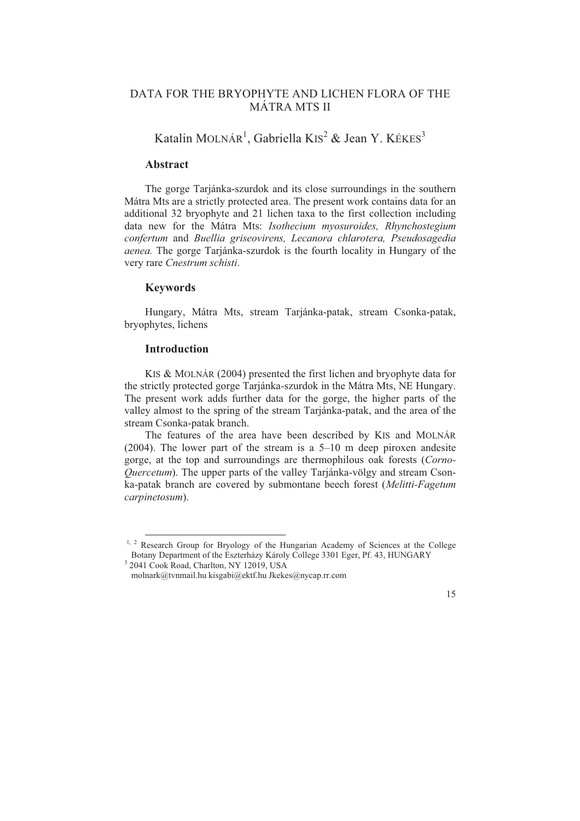# DATA FOR THE BRYOPHYTE AND LICHEN FLORA OF THE MÁTRA MTS II

# Katalin MOLNÁR<sup>1</sup>, Gabriella KIS<sup>2</sup> & Jean Y. KÉKES<sup>3</sup>

# **Abstract**

data new for the Mátra Mts: Isothecium myosuroides, Rhynchostegium *conf ertum* and *Buellia griseovirens, Lecanora chlarotera, Pseudosagedia*  The gorge Tarjánka-szurdok and its close surroundings in the southern Mátra Mts are a strictly protected area. The present work contains data for an additional 32 bryophyte and 21 lichen taxa to the first collection including *aenea.* The gorge Tarjánka-szurdok is the fourth locality in Hungary of the very rare *Cnestrum schisti*.

# **Keywords**

Hungary, Mátra Mts, stream Tarjánka-patak, stream Csonka-patak, bryophytes, lichens

### **Introduction**

 $\overline{a}$ 

K IS & MOLNÁR (2004) presented the first lichen and bryophyte data for the str ictly protected gorge Tarjánka-szurdok in the Mátra Mts, NE Hungary. The present work adds further data for the gorge, the higher parts of the valley almost to the spring of the stream Tarjánka-patak, and the area of the stream Csonka-patak branch.

T he features of the area have been described by KIS and MOLNÁR (2004 ). The lower part of the stream is a 5–10 m deep piroxen andesite gorge, at the top and surroundings are thermophilous oak forests (Corno-Quercetum). The upper parts of the valley Tarjánka-völgy and stream Csonka-pat ak branch are covered by submontane beech forest (*Melitti-Fagetum*   $capine$ *tosum*).

<sup>&</sup>lt;sup>1, 2</sup> Research Group for Bryology of the Hungarian Academy of Sciences at the College Botany Department of the Eszterházy Károly College 3301 Eger, Pf. 43, HUNGARY

<sup>3</sup> 2041 Cook Road, Charlton, NY 12019, USA

molnark@tvnmail.hu kisgabi@ektf.hu Jkekes@nycap.rr.com

<sup>15</sup>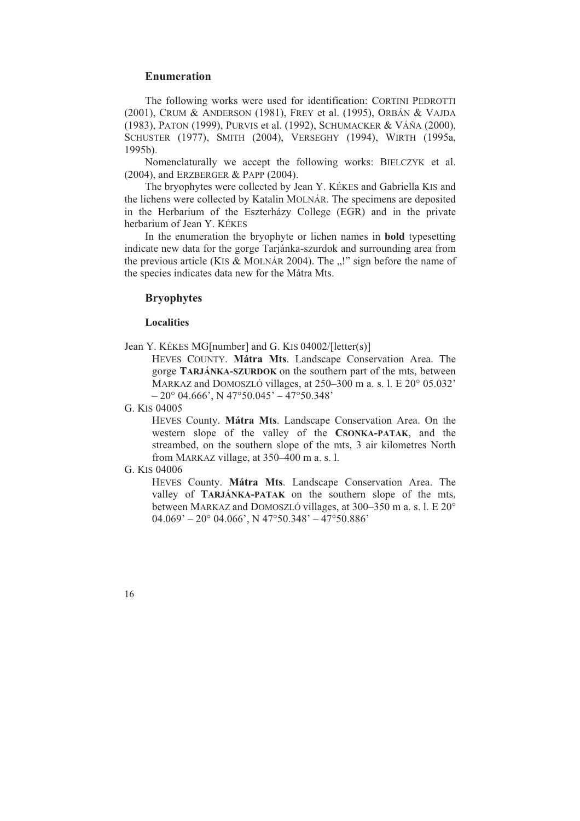# **Enumeration**

The following works were used for identification: CORTINI PEDROTTI (2001), CRUM & ANDERSON (1981), FREY et al. (1995), ORBÁN & VAJDA SCHUSTER (1977), SMITH (2004), VERSEGHY (1994), WIRTH (1995a, (1983), PATON (1999), PURVIS et al. (1992), SCHUMACKER & VÁŇA (2000), 1995b).

Nomenclaturally we accept the following works: BIELCZYK et al. (2004), and ERZBERGER & PAPP (2004).

The bryophytes were collected by Jean Y. KÉKES and Gabriella KIS and in the Herbarium of the Eszterházy College (EGR) and in the private herbarium of Jean Y. KÉKES the lichens were collected by Katalin MOLNÁR. The specimens are deposited

In the enumeration the bryophyte or lichen names in **bold** typesetting indicate new data for the gorge Tarjánka-szurdok and surrounding area from the species indicates data new for the Mátra Mts. the previous article (KIS & MOLNÁR 2004). The  $\ldots$ !" sign before the name of

# **B ryophytes**

### **L ocalities**

Jean Y. KÉKES MG[number] and G. KIS 04002/[letter(s)]

HEVES COUNTY. Mátra Mts. Landscape Conservation Area. The MARKAZ and DOMOSZLÓ villages, at 250–300 m a. s. l. E 20° 05.032' gorge **TARJÁNKA-SZURDOK** on the southern part of the mts, between  $-20^{\circ}$  04.666', N 47°50.045' – 47°50.348'

G. KIS 04005

HEVES County. **Mátra Mts**. Landscape Conservation Area. On the western slope of the valley of the **CSONKA-PATAK**, and the streambed, on the southern slope of the mts, 3 air kilometres North from MARKAZ village, at 350–400 m a. s. l.

#### G. KIS 04006

valley of **TARJÁNKA-PATAK** on the southern slope of the mts,  $04.069' - 20^{\circ}$  04.066', N 47°50.348' - 47°50.886' HEVES County. **Mátra Mts**. Landscape Conservation Area. The between MARKAZ and DOMOSZLÓ villages, at 300–350 m a. s. l. E 20°

16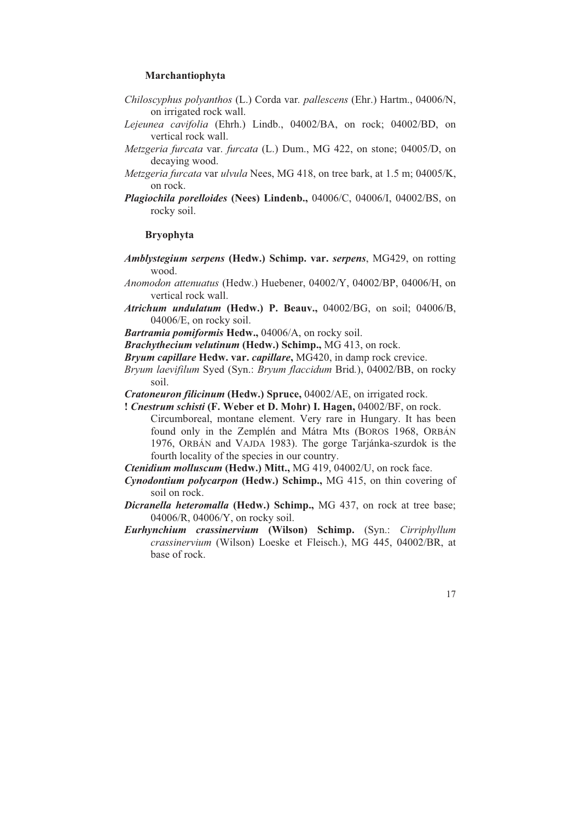### **Marchantiophyta**

- *Chiloscyphus polyanthos* (L.) Corda var*. pallescens* (Ehr.) Hartm., 04006/N, on irrigated rock wall.
- Lejeunea cavifolia (Ehrh.) Lindb., 04002/BA, on rock; 04002/BD, on vertical rock wall.
- Metzgeria furcata var. furcata (L.) Dum., MG 422, on stone; 04005/D, on decaying wood.
- *Metzgeria furcata* var *ulvula* Nees, MG 418, on tree bark, at 1.5 m; 04005/K, on rock.
- *Plagiochila porelloides* **(Nees) Lindenb.,** 04006/C, 04006/I, 04002/BS, on rocky soil.

### **Bryophyta**

- Amblystegium serpens (Hedw.) Schimp. var. serpens, MG429, on rotting wood.
- *Anom odon attenuatus* (Hedw.) Huebener, 04002/Y, 04002/BP, 04006/H, on vertical rock wall.
- *Atrich um undulatum* **(Hedw.) P. Beauv.,** 04002/BG, on soil; 04006/B, 04006/E, on rocky soil.
- *Bartramia pomiformis* **Hedw.,** 04006/A, on rocky soil.
- *Brachythecium velutinum* **(Hedw.) Schimp.,** MG 413, on rock.
- Bryum capillare Hedw. var. capillare, MG420, in damp rock crevice.
- Bryum laevifilum Syed (Syn.: Bryum flaccidum Brid.), 04002/BB, on rocky soil.
- *Cratoneuron filicinum* **(Hedw.) Spruce,** 04002/AE, on irrigated rock.
- Circumboreal, montane element. Very rare in Hungary. It has been found only in the Zemplén and Mátra Mts (BOROS 1968, ORBÁN 1976, ORBÁN and VAJDA 1983). The gorge Tarjánka-szurdok is the **!** *Cnestrum schisti* **(F. Weber et D. Mohr) I. Hagen,** 04002/BF, on rock. fourth locality of the species in our country.
- Ctenidium molluscum (Hedw.) Mitt., MG 419, 04002/U, on rock face.
- *Cynodontium polycarpon* **(Hedw.) Schimp.,** MG 415, on thin covering of soil on rock.
- 04006/R, 04006/Y, on rocky soil. *Dicranella heteromalla* **(Hedw.) Schimp.,** MG 437, on rock at tree base;
- *iphyllum Eurhynchium crassinervium* **(Wilson) Schimp.** (Syn.: *Cirr* crassinervium (Wilson) Loeske et Fleisch.), MG 445, 04002/BR, at base of rock.

17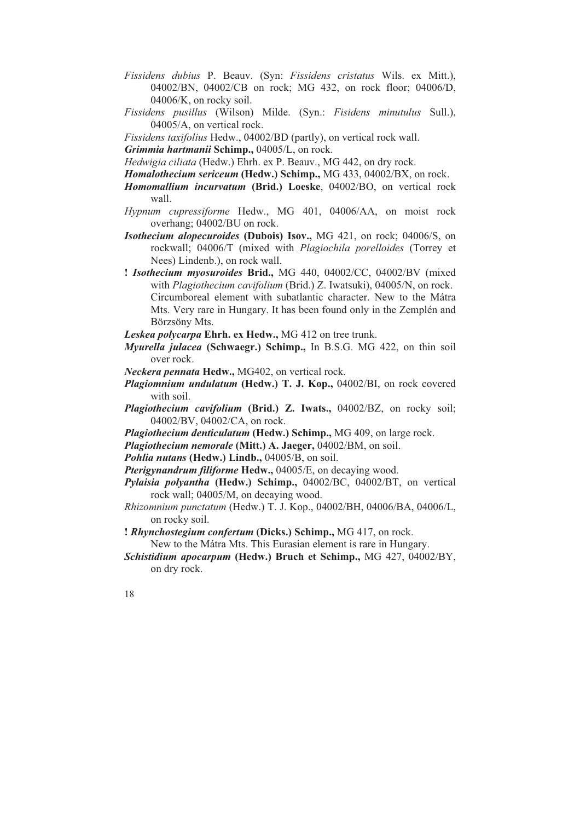- *Fissidens dubius* P. Beauv. (Syn: *Fissidens cristatus* Wils. ex Mitt.), 04002/BN, 04002/CB on rock; MG 432, on rock floor; 04006/D, 04006/K, on rocky soil.
- 04005/A, on vertical rock. *Fissidens pusillus* (Wilson) Milde. (Syn.: *Fisidens minutulus* Sull.),
- *Fissidens taxifolius* Hedw., 04002/BD (partly), on vertical rock wall.
- **Grimmia hartmanii Schimp., 04005/L, on rock.**
- *Hedwigia ciliata* (Hedw.) Ehrh. ex P. Beauv., MG 442, on dry rock.
- Homalothecium sericeum (Hedw.) Schimp., MG 433, 04002/BX, on rock.
- *Homomallium incurvatum* **(Brid.) Loeske**, 04002/BO, on vertical rock wall.
- Hypnum cupressiforme Hedw., MG 401, 04006/AA, on moist rock overhang; 04002/BU on rock.
- *hila porelloides* (Torrey et rockwall; 04006/T (mixed with *Plagioc Isothecium alopecuroides* **(Dubois) Isov.,** MG 421, on rock; 04006/S, on Nees) Lindenb.), on rock wall.
- **! Isothecium myosuroides Brid., MG 440, 04002/CC, 04002/BV (mixed** Mts. Very rare in Hungary. It has been found only in the Zemplén and Börz söny Mts. with *Plagiothecium cavifolium* (Brid.) Z. Iwatsuki), 04005/N, on rock. Circumboreal element with subatlantic character. New to the Mátra
- *Leske a polycarpa* **Ehrh. ex Hedw.,** MG 412 on tree trunk.
- *Myurella julacea* (Schwaegr.) Schimp., In B.S.G. MG 422, on thin soil over rock.
- *Necke ra pennata* **Hedw.,** MG402, on vertical rock.
- *Plagiomnium undulatum* **(Hedw.) T. J. Kop.,** 04002/BI, on rock covered with soil.
- *Plagiothecium cavifolium* **(Brid.) Z. Iwats.,** 04002/BZ, on rocky soil; 04002/BV, 04002/CA, on rock.
- *Plagiothecium denticulatum* **(Hedw.) Schimp.,** MG 409, on large rock.
- Plagiothecium nemorale (Mitt.) A. Jaeger, 04002/BM, on soil.
- Pohlia nutans (Hedw.) Lindb., 04005/B, on soil.
- Pterigynandrum filiforme Hedw., 04005/E, on decaying wood.
- *Pylaisia polyantha* **(Hedw.) Schimp.,** 04002/BC, 04002/BT, on vertical rock wall; 04005/M, on decaying wood.
- *Rhizo mnium punctatum* (Hedw.) T. J. Kop., 04002/BH, 04006/BA, 04006/L, on rocky soil.
- New to the Mátra Mts. This Eurasian element is rare in Hungary. **!** *Rhynchostegium confertum* **(Dicks.) Schimp.,** MG 417, on rock.
- *Schistidium apocarpum* **(Hedw.) Bruch et Schimp.,** MG 427, 04002/BY, on dry rock.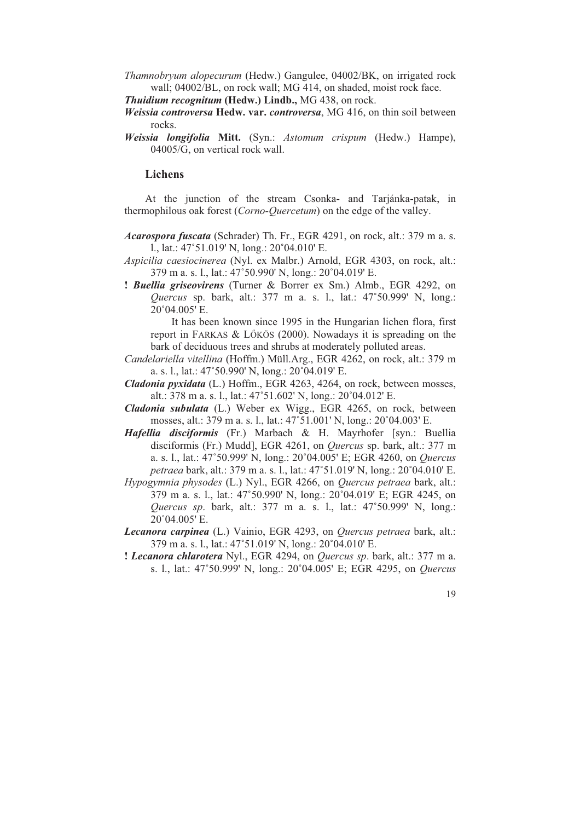*Tham nobryum alopecurum* (Hedw.) Gangulee, 04002/BK, on irrigated rock wall; 04002/BL, on rock wall; MG 414, on shaded, moist rock face.

*Thuidium recognitum* (Hedw.) Lindb., MG 438, on rock.

- *Weiss ia controversa* **Hedw. var.** *controversa*, MG 416, on thin soil between rocks.
- *Weiss ia longifolia* **Mitt.** (Syn.: *Astomum crispum* (Hedw.) Hampe), 04005/G, on vertical rock wall.

# **L ichens**

thermophilous oak forest (*Corno-Quercetum*) on the edge of the valley. At the junction of the stream Csonka- and Tarjánka-patak, in

- Acarospora fuscata (Schrader) Th. Fr., EGR 4291, on rock, alt.: 379 m a. s. l., lat.:  $47^{\circ}51.019'$  N, long.:  $20^{\circ}04.010'$  E.
- Aspicilia caesiocinerea (Nyl. ex Malbr.) Arnold, EGR 4303, on rock, alt.:  $379$  m a. s. l., lat.:  $47^{\circ}50.990'$  N, long.:  $20^{\circ}04.019'$  E.
- **! Buellia griseovirens** (Turner & Borrer ex Sm.) Almb., EGR 4292, on *Quercus* sp. bark, alt.: 377 m a. s. l., lat.: 47°50.999' N, long.: 20°04.005' E.

report in FARKAS & LŐKÖS (2000). Nowadays it is spreading on the It has been known since 1995 in the Hungarian lichen flora, first bark of deciduous trees and shrubs at moderately polluted areas.

- Candelariella vitellina (Hoffm.) Müll.Arg., EGR 4262, on rock, alt.: 379 m a. s. l., lat.:  $47^{\circ}50.990'$  N, long.:  $20^{\circ}04.019'$  E.
- Cladonia pyxidata (L.) Hoffm., EGR 4263, 4264, on rock, between mosses, alt.: 378 m a. s. l., lat.:  $47^{\circ}51.602'$  N, long.:  $20^{\circ}04.012'$  E.
- *Clado nia subulata* (L.) Weber ex Wigg., EGR 4265, on rock, between mosses, alt.: 379 m a. s. l., lat.: 47°51.001' N, long.: 20°04.003' E.
- disciformis (Fr.) Mudd], EGR 4261, on *Quercus* sp. bark, alt.: 377 m *petraea* bark, alt.: 379 m a. s. l., lat.: 47°51.019' N, long.: 20°04.010' E. *Hafellia disciformis* (Fr.) Marbach & H. Mayrhofer [syn.: Buellia a. s. l., lat.: 47°50.999' N, long.: 20°04.005' E; EGR 4260, on *Quercus*
- Hypogymnia physodes (L.) Nyl., EGR 4266, on *Quercus petraea* bark, alt.:  $379$  m a. s. l., lat.:  $47^{\circ}50.990'$  N, long.:  $20^{\circ}04.019'$  E; EGR 4245, on *Quercus sp.* bark, alt.: 377 m a. s. l., lat.: 47°50.999' N, long.: 20°04.005' E.
- Lecanora carpinea (L.) Vainio, EGR 4293, on *Quercus petraea* bark, alt.:  $379$  m a. s. l., lat.:  $47^{\circ}51.019'$  N, long.:  $20^{\circ}04.010'$  E.
- **! Lecanora chlarotera** Nyl., EGR 4294, on Quercus sp. bark, alt.: 377 m a. s. l., lat.: 47°50.999' N, long.: 20°04.005' E; EGR 4295, on *Quercus*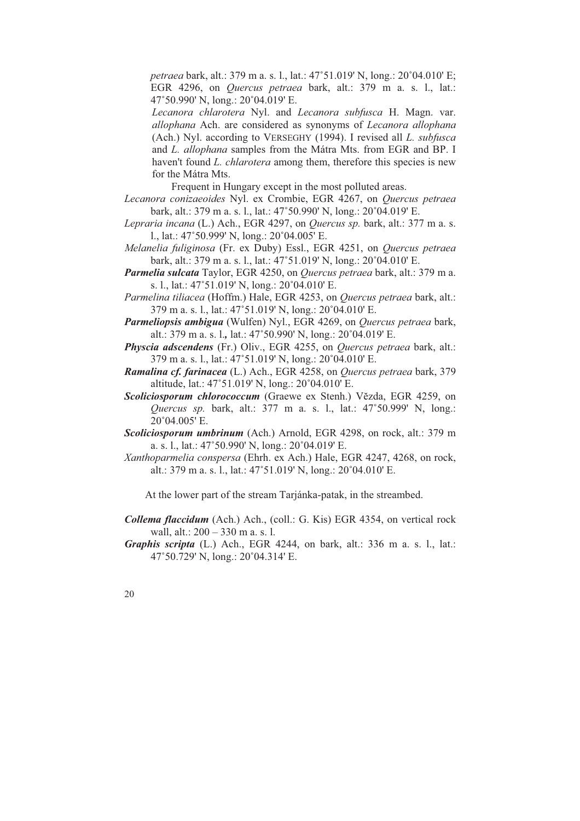*petraea bark, alt.: 379 m a. s. l., lat.: 47°51.019' N, long.: 20°04.010' E;* EGR 4296, on *Quercus petraea* bark, alt.: 379 m a. s. l., lat.: 47°50.990' N, long.: 20°04.019' E.

(Ach.) Nyl. according to VERSEGHY (1994). I revised all *L. subfusca* haven't found *L. chlarotera* among them, therefore this species is new *Lecanora chlarotera* Nyl. and *Lecanora subfusca* H. Magn. var. *allophana* Ach. are considered as synonyms of *Lecanora allophana* and *L. allophana* samples from the Mátra Mts. from EGR and BP. I for the Mátra Mts.

Frequent in Hungary except in the most polluted areas.

- bark, alt.: 379 m a. s. l., lat.: 47°50.990' N, long.: 20°04.019' E. *Lecanora conizaeoides* Nyl. ex Crombie, EGR 4267, on *Quercus petraea*
- *Lepraria incana* (L.) Ach., EGR 4297, on *Quercus sp.* bark, alt.: 377 m a. s. l., lat.:  $47^{\circ}50.999'$  N, long.:  $20^{\circ}04.005'$  E.
- *Melanelia fuliginosa* (Fr. ex Duby) Essl., EGR 4251, on *Quercus petraea*  bark, alt.: 379 m a. s. l., lat.: 47°51.019' N, long.: 20°04.010' E.
- *Parm elia sulcata* Taylor, EGR 4250, on *Quercus petraea* bark, alt.: 379 m a. s. l., lat.: 47°51.019' N, long.: 20°04.010' E.
- *Parm elina tiliacea* (Hoffm.) Hale, EGR 4253, on *Quercus petraea* bark, alt.: 379 m a. s. l., lat.: 47°51.019' N, long.: 20°04.010' E.
- *Parm eliopsis ambigua* (Wulfen) Nyl., EGR 4269, on *Quercus petraea* bark, alt.: 379 m a. s. l., lat.: 47°50.990' N, long.: 20°04.019' E.
- *Physcia adscendens* (Fr.) Oliv., EGR 4255, on *Quercus petraea* bark, alt.: 379 m a. s. l., lat.: 47°51.019' N, long.: 20°04.010' E.
- Ramalina cf. farinacea (L.) Ach., EGR 4258, on *Quercus petraea* bark, 379 altitude, lat.:  $47^{\circ}51.019'$  N, long.:  $20^{\circ}04.010'$  E.
- Scoliciosporum chlorococcum (Graewe ex Stenh.) Vězda, EGR 4259, on *Quercus sp. bark, alt.: 377 m a. s. l., lat.: 47°50.999' N, long.:* 20°04.005' E.
- *Scoliciosporum umbrinum* (Ach.) Arnold, EGR 4298, on rock, alt.: 379 m a. s. l., lat.:  $47^{\circ}50.990'$  N, long.:  $20^{\circ}04.019'$  E.
- *Xanthoparmelia conspersa* (Ehrh. ex Ach.) Hale, EGR 4247, 4268, on rock, alt.: 379 m a. s. l., lat.: 47°51.019' N, long.: 20°04.010' E.

At the lower part of the stream Tarjánka-patak, in the streambed.

- *Collema flaccidum* (Ach.) Ach., (coll.: G. Kis) EGR 4354, on vertical rock wall, alt.: 200 – 330 m a. s. l.
- *Graphis scripta* (L.) Ach., EGR 4244, on bark, alt.: 336 m a. s. l., lat.: 47°50.729' N, long.: 20°04.314' E.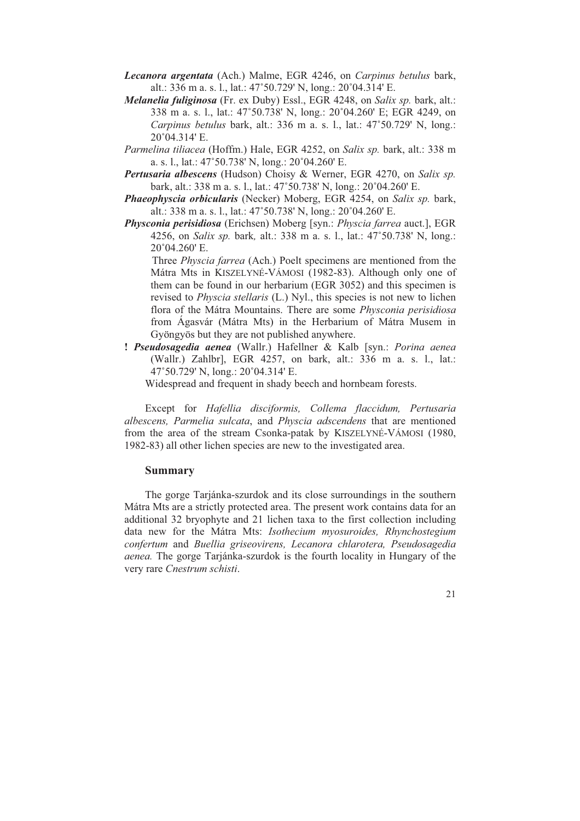- Lecanora argentata (Ach.) Malme, EGR 4246, on *Carpinus betulus* bark, alt.: 336 m a. s. l., lat.:  $47^{\circ}50.729'$  N, long.:  $20^{\circ}04.314'$  E.
- *Mel anelia fuliginosa* (Fr. ex Duby) Essl., EGR 4248, on *Salix sp.* bark, alt.: Carpinus betulus bark, alt.: 336 m a. s. l., lat.: 47°50.729' N, long.: 20°04.314' E. 338 m a. s. l., lat.: 47°50.738' N, long.: 20°04.260' E; EGR 4249, on
- Parmelina tiliacea (Hoffm.) Hale, EGR 4252, on *Salix sp.* bark, alt.: 338 m a. s. l., lat.:  $47^{\circ}50.738'$  N, long.:  $20^{\circ}04.260'$  E.
- *Pertusaria albescens* (Hudson) Choisy & Werner, EGR 4270, on *Salix sp.*  bark, alt.: 338 m a. s. l., lat.: 47°50.738' N, long.: 20°04.260' E.
- *Phaeophyscia orbicularis* (Necker) Moberg, EGR 4254, on *Salix sp.* bark, alt.: 338 m a. s. l., lat.:  $47^{\circ}50.738'$  N, long.:  $20^{\circ}04.260'$  E.
- Physconia perisidiosa (Erichsen) Moberg [syn.: Physcia farrea auct.], EGR 4256, on *Salix sp.* bark, alt.: 338 m a. s. l., lat.: 47°50.738' N, long.:  $20^{\circ}04.260'$  E.

them can be found in our herbarium (EGR 3052) and this specimen is flora of the Mátra Mountains. There are some *Physconia perisidiosa* Gyöngyös but they are not published anywhere. Three *Physcia farrea* (Ach.) Poelt specimens are mentioned from the Mátra Mts in KISZELYNÉ-VÁMOSI (1982-83). Although only one of revised to *Physcia stellaris* (L.) Nyl., this species is not new to lichen from Ágasvár (Mátra Mts) in the Herbarium of Mátra Musem in

**!** *Pseudosagedia aenea* (Wallr.) Hafellner & Kalb [syn.: *Porina aenea* (Wallr.) Zahlbr], EGR 4257, on bark, alt.: 336 m a. s. l., lat.: 47°50.729' N, long.: 20°04.314' E.

W idespread and frequent in shady beech and hornbeam forests.

from the area of the stream Csonka-patak by KISZELYNÉ-VÁMOSI (1980, Except for *Hafellia disciformis, Collema flaccidum, Pertusaria albescens, Parmelia sulcata*, and *Physcia adscendens* that are mentioned 1982-83) all other lichen species are new to the investigated area.

# **Summary**

aenea. The gorge Tarjánka-szurdok is the fourth locality in Hungary of the very rare *Cnestrum schisti*. The gorge Tarjánka-szurdok and its close surroundings in the southern Mátra Mts are a strictly protected area. The present work contains data for an additional 32 bryophyte and 21 lichen taxa to the first collection including data new for the Mátra Mts: *Isothecium myosuroides, Rhynchostegium confertum* and *Buellia griseovirens, Lecanora chlarotera, Pseudosagedia*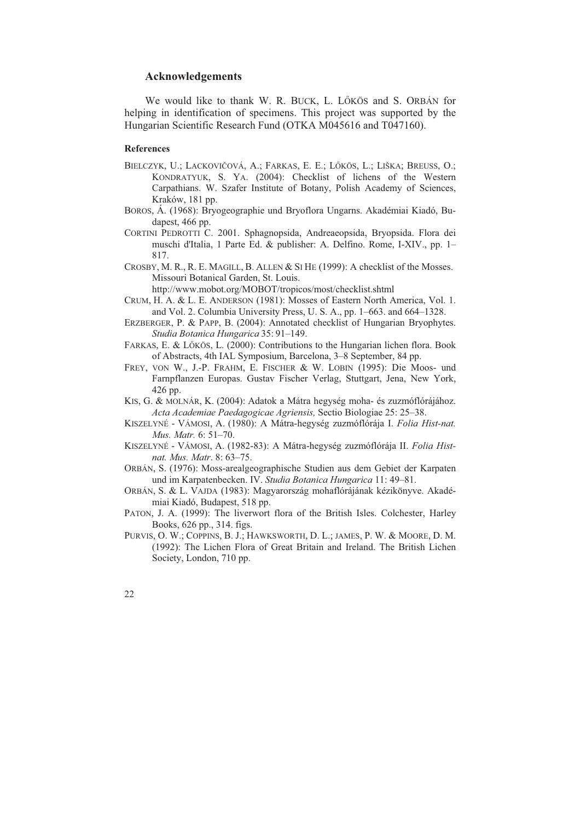# **Acknowledgements**

We would like to thank W. R. BUCK, L. LÖKÖS and S. ORBÁN for Hung arian Scientific Research Fund (OTKA M045616 and T047160). helping in identification of specimens. This project was supported by the

#### **References**

- KONDRATYUK, S. YA. (2004): Checklist of lichens of the Western BIELCZYK, U.; LACKOVIČOVÁ, A.; FARKAS, E. E.; LŐKÖS, L.; LIŠKA; BREUSS, O.; Carpathians. W. Szafer Institute of Botany, Polish Academy of Sciences, Kraków, 181 pp.
- dapest, 466 pp. BOROS, Á. (1968): Bryogeographie und Bryoflora Ungarns. Akadémiai Kiadó, Bu-
- CORTINI PEDROTTI C. 2001. Sphagnopsida, Andreaeopsida, Bryopsida. Flora dei muschi d'Italia, 1 Parte Ed. & publisher: A. Delfino. Rome, I-XIV., pp. 1– 817.
- CROSBY, M. R., R. E. MAGILL, B. ALLEN & SI HE (1999): A checklist of the Mosses. Missouri Botanical Garden, St. Louis.

http://www.mobot.org/MOBOT/tropicos/most/checklist.shtml

- CRUM, H. A. & L. E. ANDERSON (1981): Mosses of Eastern North America, Vol. 1. and Vol. 2. Columbia University Press, U. S. A., pp. 1–663. and 664–1328.
- ERZBERGER, P. & PAPP, B. (2004): Annotated checklist of Hungarian Bryophytes. *Studia Botanica Hungarica* 35: 91–149.
- FARKAS, E. & LŐKÖS, L. (2000): Contributions to the Hungarian lichen flora. Book of Abstracts, 4th IAL Symposium, Barcelona, 3–8 September, 84 pp.
- FREY, VON W., J.-P. FRAHM, E. FISCHER & W. LOBIN (1995): Die Moos- und Farnpflanzen Europas. Gustav Fischer Verlag, Stuttgart, Jena, New York, 426 pp.
- KIS, G. & MOLNÁR, K. (2004): Adatok a Mátra hegység moha- és zuzmóflórájához. *Acta Academiae Paedagogicae Agriensis,* Sectio Biologiae 25: 25–38.
- KISZELYNÉ VÁMOSI, A. (1980): A Mátra-hegység zuzmóflórája I. *Folia Hist-nat. Mus. Matr.* 6: 51–70.
- KISZELYNÉ VÁMOSI, A. (1982-83): A Mátra-hegység zuzmóflórája II. *Folia Histnat. Mus. Matr*. 8: 63–75.
- ORBÁN, S. (1976): Moss-arealgeographische Studien aus dem Gebiet der Karpaten und im Karpatenbecken. IV. *Studia Botanica Hungarica* 11: 49–81.
- ORBÁN, S. & L. VAJDA (1983): Magyarország mohaflórájának kézikönyve. Akadémiai Kiadó, Budapest, 518 pp.
- PATON, J. A. (1999): The liverwort flora of the British Isles. Colchester, Harley Books, 626 pp., 314. figs.
- PURVIS, O. W.; COPPINS, B. J.; HAWKSWORTH, D. L.; JAMES, P. W. & MOORE, D. M. (1992): The Lichen Flora of Great Britain and Ireland. The British Lichen Society, London, 710 pp.